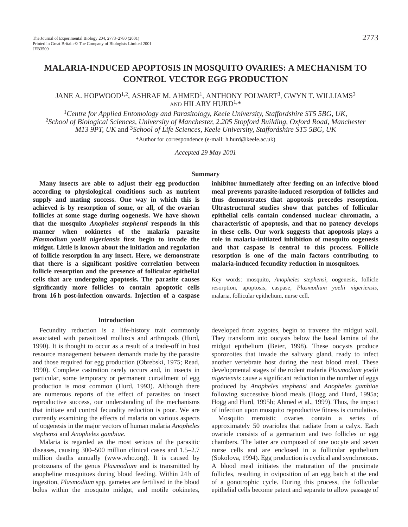# **MALARIA-INDUCED APOPTOSIS IN MOSQUITO OVARIES: A MECHANISM TO CONTROL VECTOR EGG PRODUCTION**

# JANE A. HOPWOOD<sup>1,2</sup>, ASHRAF M. AHMED<sup>1</sup>, ANTHONY POLWART<sup>3</sup>, GWYN T. WILLIAMS<sup>3</sup> AND HILARY HURD1,\*

<sup>1</sup>*Centre for Applied Entomology and Parasitology, Keele University, Staffordshire ST5 5BG, UK,* <sup>2</sup>*School of Biological Sciences, University of Manchester, 2.205 Stopford Building, Oxford Road, Manchester M13 9PT, UK* and 3*School of Life Sciences, Keele University, Staffordshire ST5 5BG, UK* \*Author for correspondence (e-mail: h.hurd@keele.ac.uk)

*Accepted 29 May 2001*

#### **Summary**

**Many insects are able to adjust their egg production according to physiological conditions such as nutrient supply and mating success. One way in which this is achieved is by resorption of some, or all, of the ovarian follicles at some stage during oogenesis. We have shown that the mosquito** *Anopheles stephensi* **responds in this manner when ookinetes of the malaria parasite** *Plasmodium yoelii nigeriensis* **first begin to invade the midgut. Little is known about the initiation and regulation of follicle resorption in any insect. Here, we demonstrate that there is a significant positive correlation between follicle resorption and the presence of follicular epithelial cells that are undergoing apoptosis. The parasite causes significantly more follicles to contain apoptotic cells from 16 h post-infection onwards. Injection of a caspase**

#### **Introduction**

Fecundity reduction is a life-history trait commonly associated with parasitized molluscs and arthropods (Hurd, 1990). It is thought to occur as a result of a trade-off in host resource management between demands made by the parasite and those required for egg production (Obrebski, 1975; Read, 1990). Complete castration rarely occurs and, in insects in particular, some temporary or permanent curtailment of egg production is most common (Hurd, 1993). Although there are numerous reports of the effect of parasites on insect reproductive success, our understanding of the mechanisms that initiate and control fecundity reduction is poor. We are currently examining the effects of malaria on various aspects of oogenesis in the major vectors of human malaria *Anopheles stephensi* and *Anopheles gambiae*.

Malaria is regarded as the most serious of the parasitic diseases, causing 300–500 million clinical cases and 1.5–2.7 million deaths annually (www.who.org). It is caused by protozoans of the genus *Plasmodium* and is transmitted by anopheline mosquitoes during blood feeding. Within 24 h of ingestion, *Plasmodium* spp. gametes are fertilised in the blood bolus within the mosquito midgut, and motile ookinetes,

**inhibitor immediately after feeding on an infective blood meal prevents parasite-induced resorption of follicles and thus demonstrates that apoptosis precedes resorption. Ultrastructural studies show that patches of follicular epithelial cells contain condensed nuclear chromatin, a characteristic of apoptosis, and that no patency develops in these cells. Our work suggests that apoptosis plays a role in malaria-initiated inhibition of mosquito oogenesis and that caspase is central to this process. Follicle resorption is one of the main factors contributing to malaria-induced fecundity reduction in mosquitoes.**

Key words: mosquito, *Anopheles stephensi*, oogenesis, follicle resorption, apoptosis, caspase, *Plasmodium yoelii nigeriensis,* malaria, follicular epithelium, nurse cell.

developed from zygotes, begin to traverse the midgut wall. They transform into oocysts below the basal lamina of the midgut epithelium (Beier, 1998). These oocysts produce sporozoites that invade the salivary gland, ready to infect another vertebrate host during the next blood meal. These developmental stages of the rodent malaria *Plasmodium yoelii nigeriensis* cause a significant reduction in the number of eggs produced by *Anopheles stephensi* and *Anopheles gambiae* following successive blood meals (Hogg and Hurd, 1995a; Hogg and Hurd, 1995b; Ahmed et al., 1999). Thus, the impact of infection upon mosquito reproductive fitness is cumulative.

Mosquito meroistic ovaries contain a series of approximately 50 ovarioles that radiate from a calyx. Each ovariole consists of a germarium and two follicles or egg chambers. The latter are composed of one oocyte and seven nurse cells and are enclosed in a follicular epithelium (Sokolova, 1994). Egg production is cyclical and synchronous. A blood meal initiates the maturation of the proximate follicles, resulting in oviposition of an egg batch at the end of a gonotrophic cycle. During this process, the follicular epithelial cells become patent and separate to allow passage of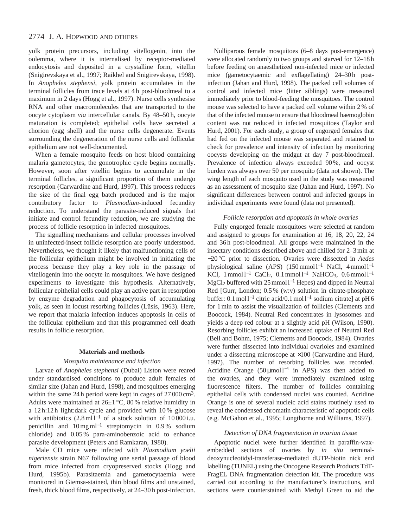yolk protein precursors, including vitellogenin, into the oolemma, where it is internalised by receptor-mediated endocytosis and deposited in a crystalline form, vitellin (Snigirevskaya et al., 1997; Raikhel and Snigirevskaya, 1998). In *Anopheles stephensi*, yolk protein accumulates in the terminal follicles from trace levels at 4 h post-bloodmeal to a maximum in 2 days (Hogg et al., 1997). Nurse cells synthesise RNA and other macromolecules that are transported to the oocyte cytoplasm *via* intercellular canals. By 48–50 h, oocyte maturation is completed; epithelial cells have secreted a chorion (egg shell) and the nurse cells degenerate. Events surrounding the degeneration of the nurse cells and follicular epithelium are not well-documented.

When a female mosquito feeds on host blood containing malaria gametocytes, the gonotrophic cycle begins normally. However, soon after vitellin begins to accumulate in the terminal follicles, a significant proportion of them undergo resorption (Carwardine and Hurd, 1997). This process reduces the size of the final egg batch produced and is the major contributory factor to *Plasmodium*-induced fecundity reduction. To understand the parasite-induced signals that initiate and control fecundity reduction, we are studying the process of follicle resorption in infected mosquitoes.

The signalling mechanisms and cellular processes involved in uninfected-insect follicle resorption are poorly understood. Nevertheless, we thought it likely that malfunctioning cells of the follicular epithelium might be involved in initiating the process because they play a key role in the passage of vitellogenin into the oocyte in mosquitoes. We have designed experiments to investigate this hypothesis. Alternatively, follicular epithelial cells could play an active part in resorption by enzyme degradation and phagocytosis of accumulating yolk, as seen in locust resorbing follicles (Lüsis, 1963). Here, we report that malaria infection induces apoptosis in cells of the follicular epithelium and that this programmed cell death results in follicle resorption.

#### **Materials and methods**

#### *Mosquito maintenance and infection*

Larvae of *Anopheles stephensi* (Dubai) Liston were reared under standardised conditions to produce adult females of similar size (Jahan and Hurd, 1998), and mosquitoes emerging within the same 24 h period were kept in cages of 27 000 cm<sup>3</sup>. Adults were maintained at  $26\pm1$  °C, 80% relative humidity in a 12 h:12 h light:dark cycle and provided with 10 % glucose with antibiotics (2.8 ml l<sup>-1</sup> of a stock solution of 10000 i.u. penicillin and 10 mg ml−<sup>1</sup> streptomycin in 0.9 % sodium chloride) and 0.05 % para-aminobenzoic acid to enhance parasite development (Peters and Ramkaran, 1980).

Male CD mice were infected with *Plasmodium yoelii nigeriensis* strain N67 following one serial passage of blood from mice infected from cryopreserved stocks (Hogg and Hurd, 1995b). Parasitaemia and gametocytaemia were monitored in Giemsa-stained, thin blood films and unstained, fresh, thick blood films, respectively, at 24–30 h post-infection.

Nulliparous female mosquitoes (6–8 days post-emergence) were allocated randomly to two groups and starved for 12–18 h before feeding on anaesthetized non-infected mice or infected mice (gametocytaemic and exflagellating) 24–30h postinfection (Jahan and Hurd, 1998). The packed cell volumes of control and infected mice (litter siblings) were measured immediately prior to blood-feeding the mosquitoes. The control mouse was selected to have a packed cell volume within 2 % of that of the infected mouse to ensure that bloodmeal haemoglobin content was not reduced in infected mosquitoes (Taylor and Hurd, 2001). For each study, a group of engorged females that had fed on the infected mouse was separated and retained to check for prevalence and intensity of infection by monitoring oocysts developing on the midgut at day 7 post-bloodmeal. Prevalence of infection always exceeded 90%, and oocyst burden was always over 50 per mosquito (data not shown). The wing length of each mosquito used in the study was measured as an assessment of mosquito size (Jahan and Hurd, 1997). No significant differences between control and infected groups in individual experiments were found (data not presented).

#### *Follicle resorption and apoptosis in whole ovaries*

Fully engorged female mosquitoes were selected at random and assigned to groups for examination at 16, 18, 20, 22, 24 and 36h post-bloodmeal. All groups were maintained in the insectary conditions described above and chilled for 2–3 min at −20 °C prior to dissection. Ovaries were dissected in *Aedes* physiological saline (APS) (150 mmol l<sup>−1</sup> NaCl, 4 mmol l<sup>−1</sup> KCl,  $1 \text{ mmol } 1^{-1}$  CaCl<sub>2</sub>,  $0.1 \text{ mmol } 1^{-1}$  NaHCO<sub>3</sub>,  $0.6 \text{ mmol } 1^{-1}$ MgCl<sub>2</sub> buffered with 25 mmol l<sup>-1</sup> Hepes) and dipped in Neutral Red [Gurr, London; 0.5 % (w:v) solution in citrate-phosphate buffer: 0.1 mol l−<sup>1</sup> citric acid/0.1 mol l−<sup>1</sup> sodium citrate] at pH 6 for 1 min to assist the visualization of follicles (Clements and Boocock, 1984). Neutral Red concentrates in lysosomes and yields a deep red colour at a slightly acid pH (Wilson, 1990). Resorbing follicles exhibit an increased uptake of Neutral Red (Bell and Bohm, 1975; Clements and Boocock, 1984). Ovaries were further dissected into individual ovarioles and examined under a dissecting microscope at ×100 (Carwardine and Hurd, 1997). The number of resorbing follicles was recorded. Acridine Orange (50µmol  $l^{-1}$  in APS) was then added to the ovaries, and they were immediately examined using fluorescence filters. The number of follicles containing epithelial cells with condensed nuclei was counted. Acridine Orange is one of several nucleic acid stains routinely used to reveal the condensed chromatin characteristic of apoptotic cells (e.g. McGahon et al., 1995; Longthorne and Williams, 1997).

#### *Detection of DNA fragmentation in ovarian tissue*

Apoptotic nuclei were further identified in paraffin-waxembedded sections of ovaries by *in situ* terminaldeoxynucleotidyl-transferase-mediated dUTP-biotin nick end labelling (TUNEL) using the Oncogene Research Products TdT-FragEL DNA fragmentation detection kit. The procedure was carried out according to the manufacturer's instructions, and sections were counterstained with Methyl Green to aid the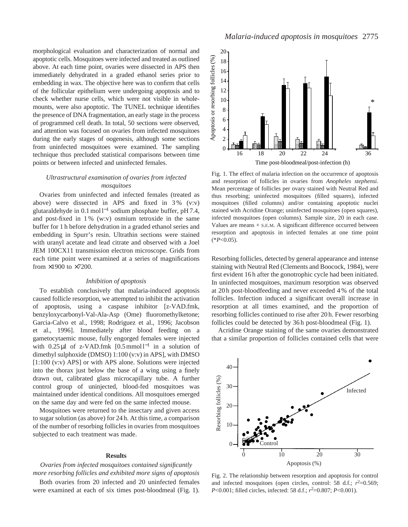morphological evaluation and characterization of normal and apoptotic cells. Mosquitoes were infected and treated as outlined above. At each time point, ovaries were dissected in APS then immediately dehydrated in a graded ethanol series prior to embedding in wax. The objective here was to confirm that cells of the follicular epithelium were undergoing apoptosis and to check whether nurse cells, which were not visible in wholemounts, were also apoptotic. The TUNEL technique identifies the presence of DNA fragmentation, an early stage in the process of programmed cell death. In total, 50 sections were observed, and attention was focused on ovaries from infected mosquitoes during the early stages of oogenesis, although some sections from uninfected mosquitoes were examined. The sampling technique thus precluded statistical comparisons between time points or between infected and uninfected females.

### *Ultrastructural examination of ovaries from infected mosquitoes*

Ovaries from uninfected and infected females (treated as above) were dissected in APS and fixed in 3 % (v:v) glutaraldehyde in 0.1 mol l−<sup>1</sup> sodium phosphate buffer, pH 7.4, and post-fixed in 1 % (w:v) osmium tetroxide in the same buffer for 1 h before dehydration in a graded ethanol series and embedding in Spurr's resin. Ultrathin sections were stained with uranyl acetate and lead citrate and observed with a Joel JEM 100CX11 transmission electron microscope. Grids from each time point were examined at a series of magnifications from ×1900 to ×7200.

#### *Inhibition of apoptosis*

To establish conclusively that malaria-induced apoptosis caused follicle resorption, we attempted to inhibit the activation of apoptosis, using a caspase inhibitor [z-VAD.fmk, benzyloxycarbonyl-Val-Ala-Asp (Ome) fluoromethylketone; Garcia-Calvo et al., 1998; Rodriguez et al., 1996; Jacobson et al., 1996]. Immediately after blood feeding on a gametocytaemic mouse, fully engorged females were injected with 0.25 μl of z-VAD.fmk [0.5 mmol l<sup>-1</sup> in a solution of dimethyl sulphoxide (DMSO) 1:100 (v:v) in APS], with DMSO [1:100 (v:v) APS] or with APS alone. Solutions were injected into the thorax just below the base of a wing using a finely drawn out, calibrated glass microcapillary tube. A further control group of uninjected, blood-fed mosquitoes was maintained under identical conditions. All mosquitoes emerged on the same day and were fed on the same infected mouse.

Mosquitoes were returned to the insectary and given access to sugar solution (as above) for 24 h. At this time, a comparison of the number of resorbing follicles in ovaries from mosquitoes subjected to each treatment was made.

#### **Results**

*Ovaries from infected mosquitoes contained significantly more resorbing follicles and exhibited more signs of apoptosis*

Both ovaries from 20 infected and 20 uninfected females were examined at each of six times post-bloodmeal (Fig. 1).



Fig. 1. The effect of malaria infection on the occurrence of apoptosis and resorption of follicles in ovaries from *Anopheles stephensi*. Mean percentage of follicles per ovary stained with Neutral Red and thus resorbing; uninfected mosquitoes (filled squares), infected mosquitoes (filled columns) and/or containing apoptotic nuclei stained with Acridine Orange; uninfected mosquitoes (open squares), infected mosquitoes (open columns). Sample size, 20 in each case. Values are means + S.E.M. A significant difference occurred between resorption and apoptosis in infected females at one time point  $(*P<0.05).$ 

Resorbing follicles, detected by general appearance and intense staining with Neutral Red (Clements and Boocock, 1984), were first evident 16 h after the gonotrophic cycle had been initiated. In uninfected mosquitoes, maximum resorption was observed at 20 h post-bloodfeeding and never exceeded 4 % of the total follicles. Infection induced a significant overall increase in resorption at all times examined, and the proportion of resorbing follicles continued to rise after 20 h. Fewer resorbing follicles could be detected by 36 h post-bloodmeal (Fig. 1).

Acridine Orange staining of the same ovaries demonstrated that a similar proportion of follicles contained cells that were



Fig. 2. The relationship between resorption and apoptosis for control and infected mosquitoes (open circles, control: 58 d.f.;  $r^2=0.569$ ; *P*<0.001; filled circles, infected: 58 d.f.;  $r^2$ =0.807; *P*<0.001).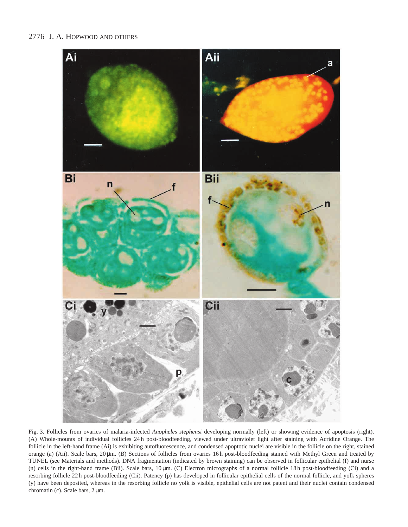

Fig. 3. Follicles from ovaries of malaria-infected *Anopheles stephensi* developing normally (left) or showing evidence of apoptosis (right). (A) Whole-mounts of individual follicles 24 h post-bloodfeeding, viewed under ultraviolet light after staining with Acridine Orange. The follicle in the left-hand frame (Ai) is exhibiting autofluorescence, and condensed apoptotic nuclei are visible in the follicle on the right, stained orange (a) (Aii). Scale bars, 20 µm. (B) Sections of follicles from ovaries 16 h post-bloodfeeding stained with Methyl Green and treated by TUNEL (see Materials and methods). DNA fragmentation (indicated by brown staining) can be observed in follicular epithelial (f) and nurse (n) cells in the right-hand frame (Bii). Scale bars, 10 µm. (C) Electron micrographs of a normal follicle 18 h post-bloodfeeding (Ci) and a resorbing follicle 22 h post-bloodfeeding (Cii). Patency (p) has developed in follicular epithelial cells of the normal follicle, and yolk spheres (y) have been deposited, whereas in the resorbing follicle no yolk is visible, epithelial cells are not patent and their nuclei contain condensed chromatin (c). Scale bars,  $2 \mu m$ .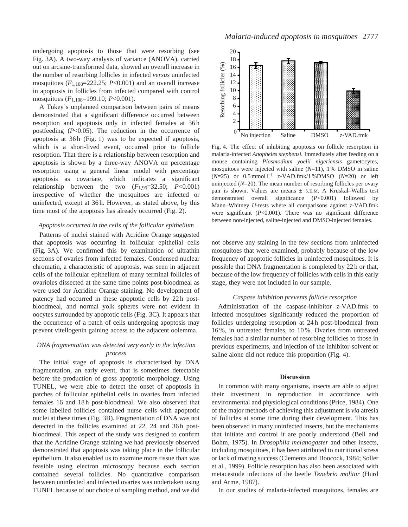undergoing apoptosis to those that were resorbing (see Fig. 3A). A two-way analysis of variance (ANOVA), carried out on arcsine-transformed data, showed an overall increase in the number of resorbing follicles in infected *versus* uninfected mosquitoes  $(F_{1,108}=222.25; P<0.001)$  and an overall increase in apoptosis in follicles from infected compared with control mosquitoes (*F*1,108=199.10; *P*<0.001).

A Tukey's unplanned comparison between pairs of means demonstrated that a significant difference occurred between resorption and apoptosis only in infected females at 36 h postfeeding (*P*<0.05). The reduction in the occurrence of apoptosis at 36h (Fig. 1) was to be expected if apoptosis, which is a short-lived event, occurred prior to follicle resorption. That there is a relationship between resorption and apoptosis is shown by a three-way ANOVA on percentage resorption using a general linear model with percentage apoptosis as covariate, which indicates a significant relationship between the two  $(F_{1,96}=32.50; P<0.001)$ irrespective of whether the mosquitoes are infected or uninfected, except at 36 h. However, as stated above, by this time most of the apoptosis has already occurred (Fig. 2).

#### *Apoptosis occurred in the cells of the follicular epithelium*

Patterns of nuclei stained with Acridine Orange suggested that apoptosis was occurring in follicular epithelial cells (Fig. 3A). We confirmed this by examination of ultrathin sections of ovaries from infected females. Condensed nuclear chromatin, a characteristic of apoptosis, was seen in adjacent cells of the follicular epithelium of many terminal follicles of ovarioles dissected at the same time points post-bloodmeal as were used for Acridine Orange staining*.* No development of patency had occurred in these apoptotic cells by 22 h postbloodmeal, and normal yolk spheres were not evident in oocytes surrounded by apoptotic cells (Fig. 3C). It appears that the occurrence of a patch of cells undergoing apoptosis may prevent vitellogenin gaining access to the adjacent oolemma.

### *DNA fragmentation was detected very early in the infection process*

The initial stage of apoptosis is characterised by DNA fragmentation, an early event, that is sometimes detectable before the production of gross apoptotic morphology. Using TUNEL, we were able to detect the onset of apoptosis in patches of follicular epithelial cells in ovaries from infected females 16 and 18 h post-bloodmeal. We also observed that some labelled follicles contained nurse cells with apoptotic nuclei at these times (Fig. 3B). Fragmentation of DNA was not detected in the follicles examined at 22, 24 and 36h postbloodmeal. This aspect of the study was designed to confirm that the Acridine Orange staining we had previously observed demonstrated that apoptosis was taking place in the follicular epithelium. It also enabled us to examine more tissue than was feasible using electron microscopy because each section contained several follicles. No quantitative comparison between uninfected and infected ovaries was undertaken using TUNEL because of our choice of sampling method, and we did



Fig. 4. The effect of inhibiting apoptosis on follicle resorption in malaria-infected *Anopheles stephensi.* Immediately after feeding on a mouse containing *Plasmodium yoelii nigeriensis* gametocytes, mosquitoes were injected with saline (*N*=11), 1 % DMSO in saline (*N*=25) or 0.5 mmol l−<sup>1</sup> z-VAD.fmk/1 %DMSO (*N*=20) or left uninjected (*N*=20). The mean number of resorbing follicles per ovary pair is shown. Values are means  $\pm$  s.E.M. A Kruskal–Wallis test demonstrated overall significance (*P*<0.001) followed by Mann–Whitney *U*-tests where all comparisons against z-VAD.fmk were significant (*P*<0.001). There was no significant difference between non-injected, saline-injected and DMSO-injected females.

not observe any staining in the few sections from uninfected mosquitoes that were examined, probably because of the low frequency of apoptotic follicles in uninfected mosquitoes. It is possible that DNA fragmentation is completed by 22 h or that, because of the low frequency of follicles with cells in this early stage, they were not included in our sample.

### *Caspase inhibition prevents follicle resorption*

Administration of the caspase-inhibitor z-VAD.fmk to infected mosquitoes significantly reduced the proportion of follicles undergoing resorption at 24 h post-bloodmeal from 16 %, in untreated females, to 10 %. Ovaries from untreated females had a similar number of resorbing follicles to those in previous experiments, and injection of the inhibitor-solvent or saline alone did not reduce this proportion (Fig. 4).

#### **Discussion**

In common with many organisms, insects are able to adjust their investment in reproduction in accordance with environmental and physiological conditions (Price, 1984). One of the major methods of achieving this adjustment is *via* atresia of follicles at some time during their development. This has been observed in many uninfected insects, but the mechanisms that initiate and control it are poorly understood (Bell and Bohm, 1975). In *Drosophila melanogaster* and other insects, including mosquitoes, it has been attributed to nutritional stress or lack of mating success (Clements and Boocock, 1984; Soller et al., 1999). Follicle resorption has also been associated with metacestode infections of the beetle *Tenebrio molitor* (Hurd and Arme, 1987).

In our studies of malaria-infected mosquitoes, females are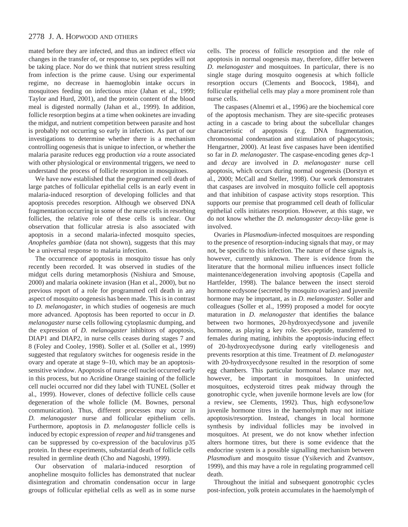mated before they are infected, and thus an indirect effect *via* changes in the transfer of, or response to, sex peptides will not be taking place. Nor do we think that nutrient stress resulting from infection is the prime cause. Using our experimental regime, no decrease in haemoglobin intake occurs in mosquitoes feeding on infectious mice (Jahan et al., 1999; Taylor and Hurd, 2001), and the protein content of the blood meal is digested normally (Jahan et al., 1999). In addition, follicle resorption begins at a time when ookinetes are invading the midgut, and nutrient competition between parasite and host is probably not occurring so early in infection. As part of our investigations to determine whether there is a mechanism controlling oogenesis that is unique to infection, or whether the malaria parasite reduces egg production *via* a route associated with other physiological or environmental triggers, we need to understand the process of follicle resorption in mosquitoes.

We have now established that the programmed cell death of large patches of follicular epithelial cells is an early event in malaria-induced resorption of developing follicles and that apoptosis precedes resorption. Although we observed DNA fragmentation occurring in some of the nurse cells in resorbing follicles, the relative role of these cells is unclear. Our observation that follicular atresia is also associated with apoptosis in a second malaria-infected mosquito species, *Anopheles gambiae* (data not shown), suggests that this may be a universal response to malaria infection.

The occurrence of apoptosis in mosquito tissue has only recently been recorded. It was observed in studies of the midgut cells during metamorphosis (Nishiura and Smouse, 2000) and malaria ookinete invasion (Han et al., 2000), but no previous report of a role for programmed cell death in any aspect of mosquito oogenesis has been made. This is in contrast to *D. melanogaster*, in which studies of oogenesis are much more advanced. Apoptosis has been reported to occur in *D. melanogaster* nurse cells following cytoplasmic dumping, and the expression of *D. melanogaster* inhibitors of apoptosis, DIAP1 and DIAP2, in nurse cells ceases during stages 7 and 8 (Foley and Cooley, 1998). Soller et al. (Soller et al., 1999) suggested that regulatory switches for oogenesis reside in the ovary and operate at stage 9–10, which may be an apoptosissensitive window. Apoptosis of nurse cell nuclei occurred early in this process, but no Acridine Orange staining of the follicle cell nuclei occurred nor did they label with TUNEL (Soller et al., 1999). However, clones of defective follicle cells cause degeneration of the whole follicle (M. Bownes, personal communication). Thus, different processes may occur in *D. melanogaster* nurse and follicular epithelium cells. Furthermore, apoptosis in *D. melanogaster* follicle cells is induced by ectopic expression of *reaper* and *hid* transgenes and can be suppressed by co-expression of the baculovirus p35 protein. In these experiments, substantial death of follicle cells resulted in germline death (Cho and Nagoshi, 1999).

Our observation of malaria-induced resorption of anopheline mosquito follicles has demonstrated that nuclear disintegration and chromatin condensation occur in large groups of follicular epithelial cells as well as in some nurse

cells. The process of follicle resorption and the role of apoptosis in normal oogenesis may, therefore, differ between *D. melanogaster* and mosquitoes. In particular, there is no single stage during mosquito oogenesis at which follicle resorption occurs (Clements and Boocock, 1984), and follicular epithelial cells may play a more prominent role than nurse cells.

The caspases (Alnemri et al., 1996) are the biochemical core of the apoptosis mechanism. They are site-specific proteases acting in a cascade to bring about the subcellular changes characteristic of apoptosis (e.g. DNA fragmentation, chromosomal condensation and stimulation of phagocytosis; Hengartner, 2000). At least five caspases have been identified so far in *D. melanogaster*. The caspase-encoding genes *dcp*-1 and *decay* are involved in *D. melanogaster* nurse cell apoptosis, which occurs during normal oogenesis (Dorstyn et al., 2000; McCall and Steller, 1998). Our work demonstrates that caspases are involved in mosquito follicle cell apoptosis and that inhibition of caspase activity stops resorption. This supports our premise that programmed cell death of follicular epithelial cells initiates resorption. However, at this stage, we do not know whether the *D. melanogaster decay*-like gene is involved.

Ovaries in *Plasmodium*-infected mosquitoes are responding to the presence of resorption-inducing signals that may, or may not, be specific to this infection. The nature of these signals is, however, currently unknown. There is evidence from the literature that the hormonal milieu influences insect follicle maintenance/degeneration involving apoptosis (Capella and Hartfelder, 1998). The balance between the insect steroid hormone ecdysone (secreted by mosquito ovaries) and juvenile hormone may be important, as in *D. melanogaster*. Soller and colleagues (Soller et al., 1999) proposed a model for oocyte maturation in *D. melanogaster* that identifies the balance between two hormones, 20-hydroxyecdysone and juvenile hormone, as playing a key role. Sex-peptide, transferred to females during mating, inhibits the apoptosis-inducing effect of 20-hydroxyecdysone during early vitellogenesis and prevents resorption at this time. Treatment of *D. melanogaster* with 20-hydroxyecdysone resulted in the resorption of some egg chambers. This particular hormonal balance may not, however, be important in mosquitoes. In uninfected mosquitoes, ecdysteroid titres peak midway through the gonotrophic cycle, when juvenile hormone levels are low (for a review, see Clements, 1992). Thus, high ecdysone/low juvenile hormone titres in the haemolymph may not initiate apoptosis/resorption. Instead, changes in local hormone synthesis by individual follicles may be involved in mosquitoes. At present, we do not know whether infection alters hormone titres, but there is some evidence that the endocrine system is a possible signalling mechanism between *Plasmodium* and mosquito tissue (Ysikevich and Zvantsov, 1999), and this may have a role in regulating programmed cell death.

Throughout the initial and subsequent gonotrophic cycles post-infection, yolk protein accumulates in the haemolymph of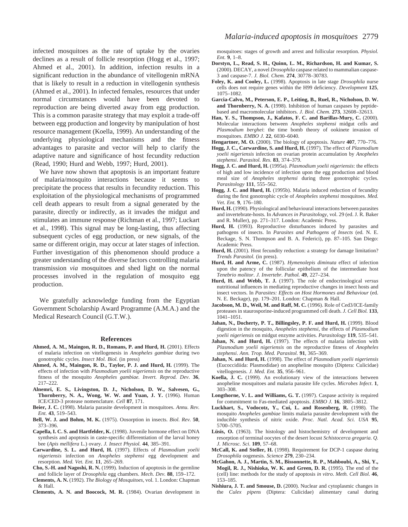infected mosquitoes as the rate of uptake by the ovaries declines as a result of follicle resorption (Hogg et al., 1997; Ahmed et al., 2001). In addition, infection results in a significant reduction in the abundance of vitellogenin mRNA that is likely to result in a reduction in vitellogenin synthesis (Ahmed et al., 2001). In infected females, resources that under normal circumstances would have been devoted to reproduction are being diverted away from egg production. This is a common parasite strategy that may exploit a trade-off between egg production and longevity by manipulation of host resource management (Koella, 1999). An understanding of the underlying physiological mechanisms and the fitness advantages to parasite and vector will help to clarify the adaptive nature and significance of host fecundity reduction (Read, 1990; Hurd and Webb, 1997; Hurd, 2001).

We have now shown that apoptosis is an important feature of malaria/mosquito interactions because it seems to precipitate the process that results in fecundity reduction. This exploitation of the physiological mechanisms of programmed cell death appears to result from a signal generated by the parasite, directly or indirectly, as it invades the midgut and stimulates an immune response (Richman et al., 1997; Luckart et al., 1998). This signal may be long-lasting, thus affecting subsequent cycles of egg production, or new signals, of the same or different origin, may occur at later stages of infection. Further investigation of this phenomenon should produce a greater understanding of the diverse factors controlling malaria transmission *via* mosquitoes and shed light on the normal processes involved in the regulation of mosquito egg production.

We gratefully acknowledge funding from the Egyptian Government Scholarship Award Programme (A.M.A.) and the Medical Research Council (G.T.W.).

#### **References**

- **Ahmed, A. M., Maingon, R. D., Romans, P. and Hurd, H.** (2001). Effects of malaria infection on vitellogenesis in *Anopheles gambiae* during two gonotrophic cycles. *Insect Mol. Biol.* (in press)
- **Ahmed, A. M., Maingon, R. D., Taylor, P. J. and Hurd, H.** (1999). The effects of infection with *Plasmodium yoelii nigeriensis* on the reproductive fitness of the mosquito *Anopheles gambiae. Invert. Reprod. Dev*. **36**, 217–222.
- **Alnemri, E. S., Livingston, D. J., Nicholson, D. W., Salvesen, G., Thornberry, N. A., Wong, W. W. and Yuan, J. Y.** (1996). Human ICE/CED-3 protease nomenclature. *Cell* **87**, 171.
- **Beier, J. C.** (1998). Malaria parasite development in mosquitoes. *Annu. Rev. Ent*. **43**, 519–543.
- **Bell, W. J. and Bohm, M. K.** (1975). Oosorption in insects. *Biol. Rev.* **50**, 373–396.
- **Capella, I. C. S. and Hartfelder, K.** (1998). Juvenile hormone effect on DNA synthesis and apoptosis in caste-specific differentiation of the larval honey bee (*Apis mellifera* L.) ovary. *J. Insect Physiol.* **44**, 385–391.
- **Carwardine, S. L. and Hurd, H.** (1997). Effects of *Plasmodium yoelii nigeriensis* infection on *Anopheles stephensi* egg development and resorption. *Med. Vet. Ent.* **11**, 265–269.
- **Cho, S.-H. and Nagoshi, R. N.** (1999). Induction of apoptosis in the germline and follicle layer of *Drosophila* egg chambers. *Mech. Dev.* **88**, 159–172.
- **Clements, A. N.** (1992). *The Biology of Mosquitoes*, vol. 1. London: Chapman & Hall.
- **Clements, A. N. and Boocock, M. R.** (1984). Ovarian development in

mosquitoes: stages of growth and arrest and follicular resorption. *Physiol. Ent.* **9**, 1–8.

- **Dorstyn, L., Read, S. H., Quinn, L. M., Richardson, H. and Kumar, S.** (2000). DECAY, a novel *Drosophila* caspase related to mammalian caspase-3 and caspase-7. *J. Biol. Chem.* **274**, 30778–30783.
- **Foley, K. and Cooley, L.** (1998). Apoptosis in late stage *Drosophila* nurse cells does not require genes within the H99 deficiency. *Development* **125**, 1075–1082.
- **Garcia-Calvo, M., Peterson, E. P., Leiting, B., Ruel, R., Nicholson, D. W. and Thornberry, N. A.** (1998). Inhibition of human caspases by peptidebased and macromolecular inhibitors. *J. Biol. Chem.* **273**, 32608–32613.
- **Han, Y. S., Thompson, J., Kafatos, F. C. and Barillas-Mury, C.** (2000). Molecular interactions between *Anopheles stephensi* midgut cells and *Plasmodium berghei*: the time bomb theory of ookinete invasion of mosquitoes. *EMBO J.* **22**, 6030–6040.

**Hengartner, M. O.** (2000). The biology of apoptosis. *Nature* **407**, 770–776.

- **Hogg, J. C., Carwardine, S. and Hurd, H.** (1997). The effect of *Plasmodium yoelii nigeriensis* infection on ovarian protein accumulation by *Anopheles stephensi*. *Parasitol. Res.* **83**, 374–379.
- **Hogg, J. C. and Hurd, H.** (1995a). *Plasmodium yoelii nigeriensis*: the effects of high and low incidence of infection upon the egg production and blood meal size of *Anopheles stephensi* during three gonotrophic cycles. *Parasitology* **111**, 555–562.
- **Hogg, J. C. and Hurd, H.** (1995b). Malaria induced reduction of fecundity during the first gonotrophic cycle of *Anopheles stephensi* mosquitoes. *Med. Vet. Ent.* **9**, 176–180.
- **Hurd, H.** (1990). Physiological and behavioural interactions between parasites and invertebrate-hosts. In *Advances in Parasitology*, vol. 29 (ed. J. R. Baker and R. Muller), pp. 271–317. London: Academic Press.
- Hurd, H. (1993). Reproductive disturbances induced by parasites and pathogens of insects. In *Parasites and Pathogens of Insects* (ed. N. E. Beckage, S. N. Thompson and B. A. Federici), pp. 87–105. San Diego: Academic Press.
- Hurd, H. (2001). Host fecundity reduction: a strategy for damage limitation? *Trends Parasitol.* (in press).
- **Hurd, H. and Arme, C.** (1987). *Hymenolepis diminuta* effect of infection upon the patency of the follicular epithelium of the intermediate host *Tenebrio molitor*. *J. Invertebr. Pathol.* **49**, 227–234.
- **Hurd, H. and Webb, T. J.** (1997). The role of endocrinological *versus* nutritional influences in mediating reproductive changes in insect hosts and insect vectors. In *Parasites: Effects on Host Hormones and Behaviour* (ed. N. E. Beckage), pp. 179–201. London: Chapman & Hall.
- **Jacobson, M. D., Weil, M. and Raff, M. C.** (1996). Role of Ced3/ICE-family proteases in staurosporine-induced programmed cell death. *J. Cell Biol.* **133**, 1041–1051.
- **Jahan, N., Docherty, P. T., Billingsley, P. F. and Hurd, H.** (1999). Blood digestion in the mosquito, *Anopheles stephensi*, the effects of *Plasmodium yoelii nigeriensis* on midgut enzyme activities. *Parasitology* **119**, 535–541.
- Jahan, N. and Hurd, H. (1997). The effects of malaria infection with *Plasmodium yoelii nigeriensis* on the reproductive fitness of *Anopheles stephensi*. *Ann. Trop. Med. Parasitol.* **91**, 365–369.
- **Jahan, N. and Hurd, H.** (1998). The effect of *Plasmodium yoelii nigeriensis* (Eucoccidiida: Plasmodidae) on anopheline mosquito (Diptera: Culicidae) vitellogenesis*. J. Med. Ent.* **35**, 956–961.
- **Koella, J. C.** (1999). An evolutionary view of the interactions between anopheline mosquitoes and malaria parasite life cycles. *Microbes Infect*. **1**, 303–308.
- **Longthorne, V. L. and Williams, G. T.** (1997). Caspase activity is required for commitment to Fas-mediated apoptosis. *EMBO J.* **16**, 3805–3812.
- **Luckhart, S., Vodocotz, Y., Cui, L. and Rosenberg, R.** (1998). The mosquito *Anopheles gambiae* limits malaria parasite development with the inducible synthesis of nitric oxide. *Proc. Natl. Acad. Sci. USA* **95**, 5700–5705.
- **Lüsis, O.** (1963). The histology and histochemistry of development and resorption of terminal oocytes of the desert locust *Schistocerca gregaria*. *Q. J. Microsc. Sci*. **109**, 57–68.
- **McCall, K. and Steller, H.** (1998). Requirement for DCP-1 caspase during *Drosophila* oogenesis. *Science* **279**, 230–234.
- **McGahon, A. J., Martin, S. M., Bissonnette, R. P., Mahboubi, A., Shi, Y., Mogil, R. J., Nishioka, W. K. and Green, D. R.** (1995). The end of the (cell) line: methods for the study of apoptosis *in vitro*. *Meth. Cell Biol.* **46**, 153–185.
- **Nishiura, J. T. and Smouse, D.** (2000). Nuclear and cytoplasmic changes in the *Culex pipens* (Diptera: Culicidae) alimentary canal during